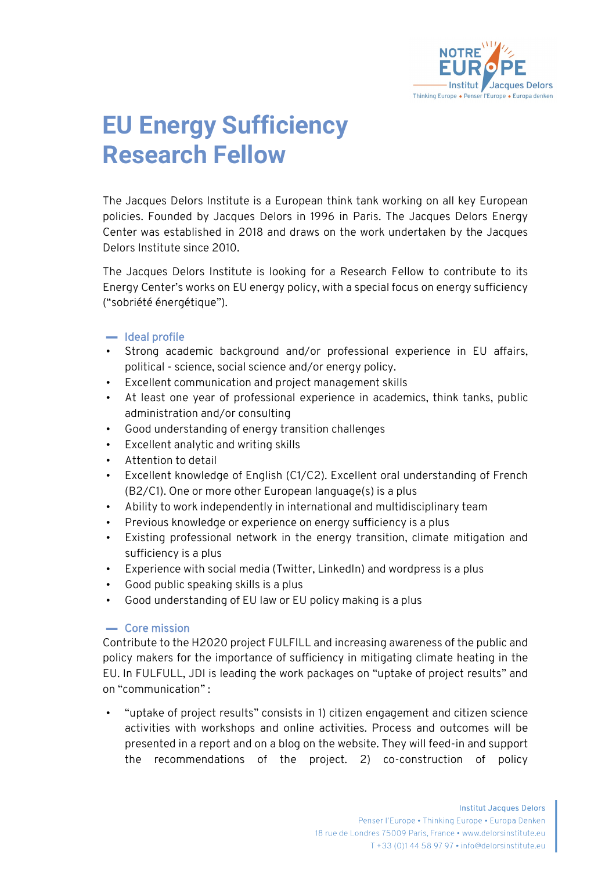

## **EU Energy Sufficiency Research Fellow**

The Jacques Delors Institute is a European think tank working on all key European policies. Founded by Jacques Delors in 1996 in Paris. The Jacques Delors Energy Center was established in 2018 and draws on the work undertaken by the Jacques Delors Institute since 2010.

The Jacques Delors Institute is looking for a Research Fellow to contribute to its Energy Center's works on EU energy policy, with a special focus on energy sufficiency ("sobriété énergétique").

## ▬ Ideal profile

- Strong academic background and/or professional experience in EU affairs, political - science, social science and/or energy policy.
- Excellent communication and project management skills
- At least one year of professional experience in academics, think tanks, public administration and/or consulting
- Good understanding of energy transition challenges
- Excellent analytic and writing skills
- Attention to detail
- Excellent knowledge of English (C1/C2). Excellent oral understanding of French (B2/C1). One or more other European language(s) is a plus
- Ability to work independently in international and multidisciplinary team
- Previous knowledge or experience on energy sufficiency is a plus
- Existing professional network in the energy transition, climate mitigation and sufficiency is a plus
- Experience with social media (Twitter, LinkedIn) and wordpress is a plus
- Good public speaking skills is a plus
- Good understanding of EU law or EU policy making is a plus

## ▬ Core mission

Contribute to the H2020 project [FULFILL](http://www.fulfill-sufficiency.eu/) and increasing awareness of the public and policy makers for the importance of sufficiency in mitigating climate heating in the EU. In FULFULL, JDI is leading the work packages on "uptake of project results" and on "communication" :

• "uptake of project results" consists in 1) citizen engagement and citizen science activities with workshops and online activities. Process and outcomes will be presented in a report and on a blog on the website. They will feed-in and support the recommendations of the project. 2) co-construction of policy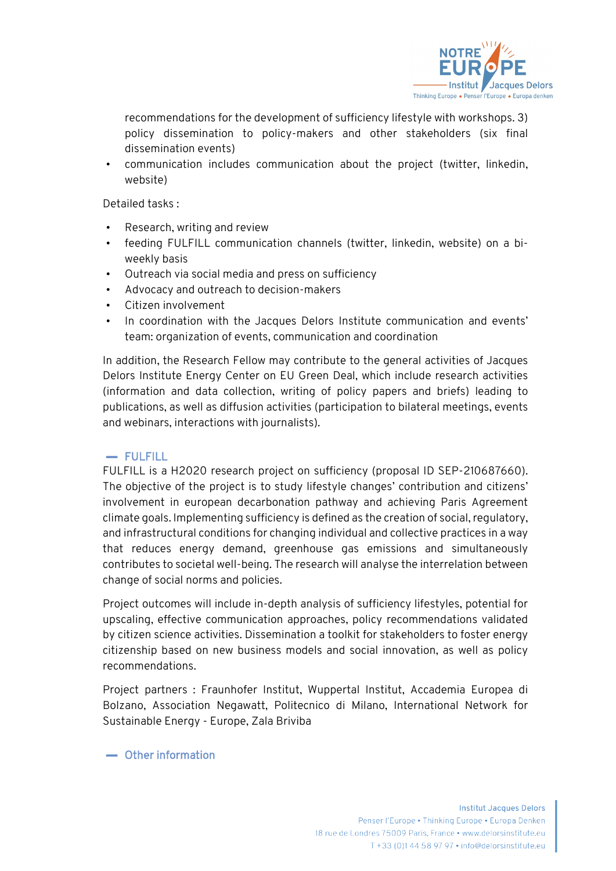

recommendations for the development of sufficiency lifestyle with workshops. 3) policy dissemination to policy-makers and other stakeholders (six final dissemination events)

• communication includes communication about the project (twitter, linkedin, website)

Detailed tasks :

- Research, writing and review
- feeding FULFILL communication channels (twitter, linkedin, website) on a biweekly basis
- Outreach via social media and press on sufficiency
- Advocacy and outreach to decision-makers
- Citizen involvement
- In coordination with the Jacques Delors Institute communication and events' team: organization of events, communication and coordination

In addition, the Research Fellow may contribute to the general activities of Jacques Delors Institute Energy Center on EU Green Deal, which include research activities (information and data collection, writing of policy papers and briefs) leading to publications, as well as diffusion activities (participation to bilateral meetings, events and webinars, interactions with journalists).

## ▬ FULFILL

FULFILL is a H2020 research project on sufficiency (proposal ID SEP-210687660). The objective of the project is to study lifestyle changes' contribution and citizens' involvement in european decarbonation pathway and achieving Paris Agreement climate goals. Implementing sufficiency is defined as the creation of social, regulatory, and infrastructural conditions for changing individual and collective practices in a way that reduces energy demand, greenhouse gas emissions and simultaneously contributes to societal well-being. The research will analyse the interrelation between change of social norms and policies.

Project outcomes will include in-depth analysis of sufficiency lifestyles, potential for upscaling, effective communication approaches, policy recommendations validated by citizen science activities. Dissemination a toolkit for stakeholders to foster energy citizenship based on new business models and social innovation, as well as policy recommendations.

Project partners : Fraunhofer Institut, Wuppertal Institut, Accademia Europea di Bolzano, Association Negawatt, Politecnico di Milano, International Network for Sustainable Energy - Europe, Zala Briviba

▬ Other information